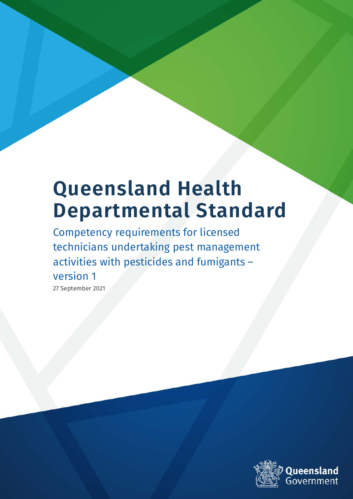# **Queensland Health Departmental Standard**

Competency requirements for licensed technicians undertaking pest management activities with pesticides and fumigants – version 1

27 September 2021

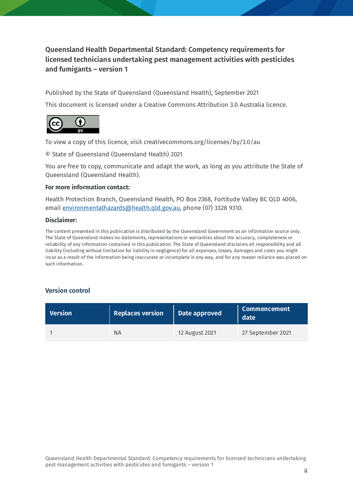**Queensland Health Departmental Standard: Competency requirements for licensed technicians undertaking pest management activities with pesticides and fumigants – version 1**

Published by the State of Queensland (Queensland Health), September 2021

This document is licensed under a Creative Commons Attribution 3.0 Australia licence.



To view a copy of this licence, visit creativecommons.org/licenses/by/3.0/au

© State of Queensland (Queensland Health) 2021

You are free to copy, communicate and adapt the work, as long as you attribute the State of Queensland (Queensland Health).

#### **For more information contact:**

Health Protection Branch, Queensland Health, PO Box 2368, Fortitude Valley BC QLD 4006, email [environmentalhazards@health.qld.gov.au,](mailto:environmentalhazards@health.qld.gov.au) phone (07) 3328 9310.

#### **Disclaimer:**

The content presented in this publication is distributed by the Queensland Government as an information source only. The State of Queensland makes no statements, representations or warranties about the accuracy, completeness or reliability of any information contained in this publication. The State of Queensland disclaims all responsibility and all liability (including without limitation for liability in negligence) for all expenses, losses, damages and costs you might incur as a result of the information being inaccurate or incomplete in any way, and for any reason reliance was placed on such information.

#### **Version control**

| <b>Version</b> | <b>Replaces version</b> | Date approved  | <b>Commencement</b><br>date |
|----------------|-------------------------|----------------|-----------------------------|
|                | ΝA                      | 12 August 2021 | 27 September 2021           |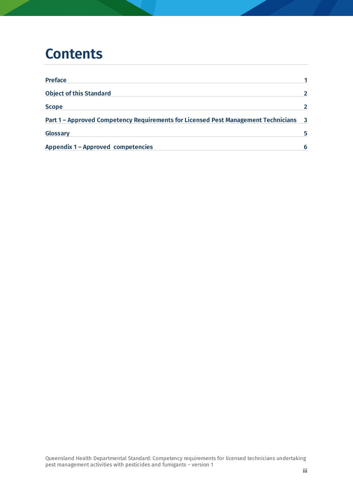#### **Contents**

| <b>Preface</b>                                                                     |                         |
|------------------------------------------------------------------------------------|-------------------------|
| <b>Object of this Standard</b>                                                     |                         |
| <b>Scope</b>                                                                       |                         |
| Part 1 - Approved Competency Requirements for Licensed Pest Management Technicians | $\overline{\mathbf{3}}$ |
| Glossary                                                                           | 5.                      |
| <b>Appendix 1 - Approved competencies</b>                                          |                         |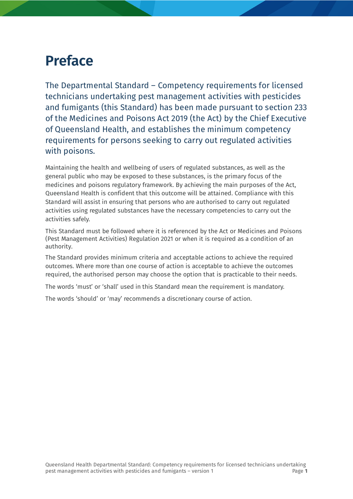### <span id="page-3-0"></span>**Preface**

The Departmental Standard – Competency requirements for licensed technicians undertaking pest management activities with pesticides and fumigants (this Standard) has been made pursuant to section 233 of the Medicines and Poisons Act 2019 (the Act) by the Chief Executive of Queensland Health, and establishes the minimum competency requirements for persons seeking to carry out regulated activities with poisons.

Maintaining the health and wellbeing of users of regulated substances, as well as the general public who may be exposed to these substances, is the primary focus of the medicines and poisons regulatory framework. By achieving the main purposes of the Act, Queensland Health is confident that this outcome will be attained. Compliance with this Standard will assist in ensuring that persons who are authorised to carry out regulated activities using regulated substances have the necessary competencies to carry out the activities safely.

This Standard must be followed where it is referenced by the Act or Medicines and Poisons (Pest Management Activities) Regulation 2021 or when it is required as a condition of an authority.

The Standard provides minimum criteria and acceptable actions to achieve the required outcomes. Where more than one course of action is acceptable to achieve the outcomes required, the authorised person may choose the option that is practicable to their needs.

The words 'must' or 'shall' used in this Standard mean the requirement is mandatory.

The words 'should' or 'may' recommends a discretionary course of action.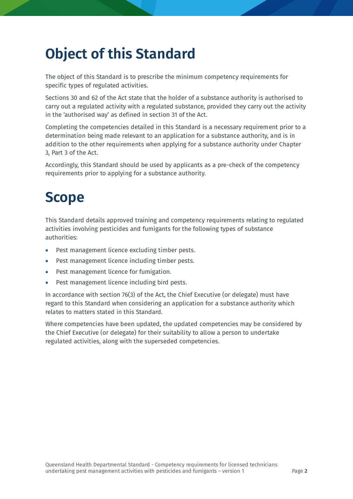# <span id="page-4-0"></span>**Object of this Standard**

The object of this Standard is to prescribe the minimum competency requirements for specific types of regulated activities.

Sections 30 and 62 of the Act state that the holder of a substance authority is authorised to carry out a regulated activity with a regulated substance, provided they carry out the activity in the 'authorised way' as defined in section 31 of the Act.

Completing the competencies detailed in this Standard is a necessary requirement prior to a determination being made relevant to an application for a substance authority, and is in addition to the other requirements when applying for a substance authority under Chapter 3, Part 3 of the Act.

Accordingly, this Standard should be used by applicants as a pre-check of the competency requirements prior to applying for a substance authority.

## <span id="page-4-1"></span>**Scope**

This Standard details approved training and competency requirements relating to regulated activities involving pesticides and fumigants for the following types of substance authorities:

- Pest management licence excluding timber pests.
- Pest management licence including timber pests.
- Pest management licence for fumigation.
- Pest management licence including bird pests.

In accordance with section 76(3) of the Act, the Chief Executive (or delegate) must have regard to this Standard when considering an application for a substance authority which relates to matters stated in this Standard.

Where competencies have been updated, the updated competencies may be considered by the Chief Executive (or delegate) for their suitability to allow a person to undertake regulated activities, along with the superseded competencies.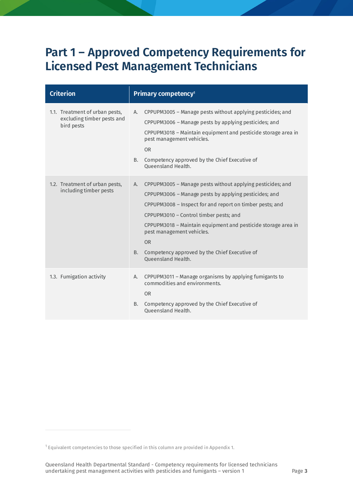#### <span id="page-5-0"></span>**Part 1 – Approved Competency Requirements for Licensed Pest Management Technicians**

| <b>Criterion</b>                                                           | Primary competency <sup>1</sup>                                                                                                                                                                                                                                                                                                                                                                                                       |
|----------------------------------------------------------------------------|---------------------------------------------------------------------------------------------------------------------------------------------------------------------------------------------------------------------------------------------------------------------------------------------------------------------------------------------------------------------------------------------------------------------------------------|
| 1.1. Treatment of urban pests,<br>excluding timber pests and<br>bird pests | CPPUPM3005 - Manage pests without applying pesticides; and<br>А.<br>CPPUPM3006 - Manage pests by applying pesticides; and<br>CPPUPM3018 – Maintain equipment and pesticide storage area in<br>pest management vehicles.<br><b>OR</b><br>B.<br>Competency approved by the Chief Executive of<br>Queensland Health.                                                                                                                     |
| 1.2. Treatment of urban pests,<br>including timber pests                   | CPPUPM3005 - Manage pests without applying pesticides; and<br>A.<br>CPPUPM3006 - Manage pests by applying pesticides; and<br>CPPUPM3008 - Inspect for and report on timber pests; and<br>CPPUPM3010 - Control timber pests; and<br>CPPUPM3018 - Maintain equipment and pesticide storage area in<br>pest management vehicles.<br><b>OR</b><br>Competency approved by the Chief Executive of<br><b>B.</b><br><b>Oueensland Health.</b> |
| 1.3. Fumigation activity                                                   | CPPUPM3011 - Manage organisms by applying fumigants to<br>А.<br>commodities and environments.<br><b>OR</b><br>Competency approved by the Chief Executive of<br>B.<br><b>Oueensland Health.</b>                                                                                                                                                                                                                                        |

<span id="page-5-1"></span><sup>1</sup> Equivalent competencies to those specified in this column are provided in Appendix 1.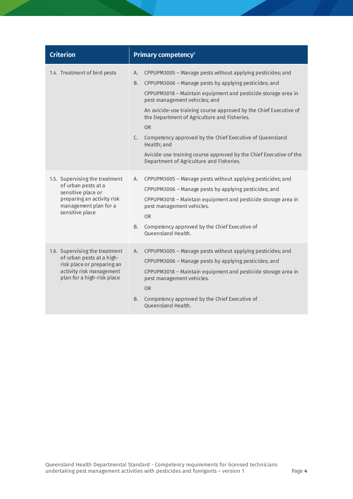| <b>Criterion</b>                                                                                                                                      | Primary competency <sup>1</sup>                                                                                                                                                                                                                                                                                                                                                                                                                                                                                                                                        |
|-------------------------------------------------------------------------------------------------------------------------------------------------------|------------------------------------------------------------------------------------------------------------------------------------------------------------------------------------------------------------------------------------------------------------------------------------------------------------------------------------------------------------------------------------------------------------------------------------------------------------------------------------------------------------------------------------------------------------------------|
| 1.4. Treatment of bird pests                                                                                                                          | CPPUPM3005 - Manage pests without applying pesticides; and<br>А.<br>CPPUPM3006 - Manage pests by applying pesticides; and<br>В.<br>CPPUPM3018 - Maintain equipment and pesticide storage area in<br>pest management vehicles; and<br>An avicide-use training course approved by the Chief Executive of<br>the Department of Agriculture and Fisheries.<br><b>OR</b><br>C.<br>Competency approved by the Chief Executive of Queensland<br>Health; and<br>Avicide-use training course approved by the Chief Executive of the<br>Department of Agriculture and Fisheries. |
| 1.5. Supervising the treatment<br>of urban pests at a<br>sensitive place or<br>preparing an activity risk<br>management plan for a<br>sensitive place | CPPUPM3005 - Manage pests without applying pesticides; and<br>А.<br>CPPUPM3006 - Manage pests by applying pesticides; and<br>CPPUPM3018 - Maintain equipment and pesticide storage area in<br>pest management vehicles.<br><b>OR</b><br>Competency approved by the Chief Executive of<br>B.<br><b>Oueensland Health.</b>                                                                                                                                                                                                                                               |
| 1.6. Supervising the treatment<br>of urban pests at a high-<br>risk place or preparing an<br>activity risk management<br>plan for a high-risk place   | CPPUPM3005 - Manage pests without applying pesticides; and<br>А.<br>CPPUPM3006 - Manage pests by applying pesticides; and<br>CPPUPM3018 - Maintain equipment and pesticide storage area in<br>pest management vehicles.<br>OR.<br>Competency approved by the Chief Executive of<br><b>B.</b><br><b>Oueensland Health.</b>                                                                                                                                                                                                                                              |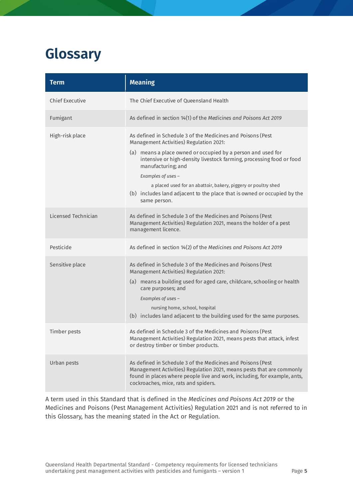### <span id="page-7-0"></span>**Glossary**

| <b>Term</b>            | <b>Meaning</b>                                                                                                                                                                                                                                                                                                                                                                                                                                           |
|------------------------|----------------------------------------------------------------------------------------------------------------------------------------------------------------------------------------------------------------------------------------------------------------------------------------------------------------------------------------------------------------------------------------------------------------------------------------------------------|
| <b>Chief Executive</b> | The Chief Executive of Queensland Health                                                                                                                                                                                                                                                                                                                                                                                                                 |
| Fumigant               | As defined in section 14(1) of the Medicines and Poisons Act 2019                                                                                                                                                                                                                                                                                                                                                                                        |
| High-risk place        | As defined in Schedule 3 of the Medicines and Poisons (Pest<br>Management Activities) Regulation 2021:<br>(a) means a place owned or occupied by a person and used for<br>intensive or high-density livestock farming, processing food or food<br>manufacturing; and<br>Examples of uses -<br>a placed used for an abattoir, bakery, piggery or poultry shed<br>(b) includes land adjacent to the place that is owned or occupied by the<br>same person. |
| Licensed Technician    | As defined in Schedule 3 of the Medicines and Poisons (Pest<br>Management Activities) Regulation 2021, means the holder of a pest<br>management licence.                                                                                                                                                                                                                                                                                                 |
| Pesticide              | As defined in section 14(2) of the Medicines and Poisons Act 2019                                                                                                                                                                                                                                                                                                                                                                                        |
| Sensitive place        | As defined in Schedule 3 of the Medicines and Poisons (Pest<br>Management Activities) Regulation 2021:<br>(a) means a building used for aged care, childcare, schooling or health<br>care purposes; and<br>Examples of uses -<br>nursing home, school, hospital<br>(b) includes land adjacent to the building used for the same purposes.                                                                                                                |
| <b>Timber pests</b>    | As defined in Schedule 3 of the Medicines and Poisons (Pest<br>Management Activities) Regulation 2021, means pests that attack, infest<br>or destroy timber or timber products.                                                                                                                                                                                                                                                                          |
| Urban pests            | As defined in Schedule 3 of the Medicines and Poisons (Pest<br>Management Activities) Regulation 2021, means pests that are commonly<br>found in places where people live and work, including, for example, ants,<br>cockroaches, mice, rats and spiders.                                                                                                                                                                                                |

A term used in this Standard that is defined in the *Medicines and Poisons Act 2019* or the Medicines and Poisons (Pest Management Activities) Regulation 2021 and is not referred to in this Glossary, has the meaning stated in the Act or Regulation.